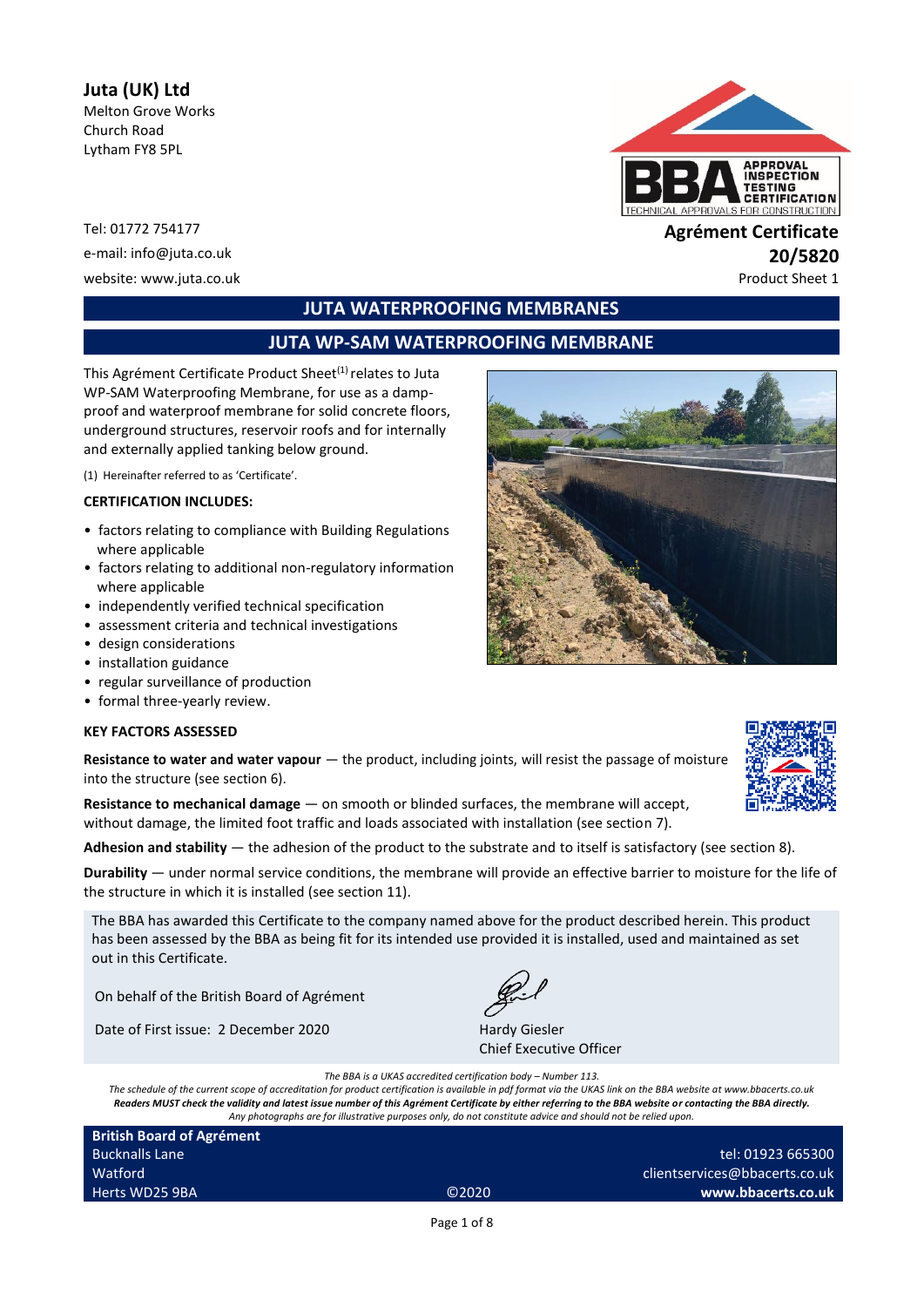# **Juta (UK) Ltd**

Melton Grove Works Church Road Lytham FY8 5PL

Tel: 01772 754177 **Agrément Certificate** website: www.juta.co.uk example of the example of the example of the example of the example of the example of the example of the example of the example of the example of the example of the example of the example of the exa



# e-mail: info@juta.co.uk **20/5820**

# **JUTA WATERPROOFING MEMBRANES**

# **JUTA WP-SAM WATERPROOFING MEMBRANE**

This Agrément Certificate Product Sheet<sup>(1)</sup> relates to Juta WP-SAM Waterproofing Membrane, for use as a dampproof and waterproof membrane for solid concrete floors, underground structures, reservoir roofs and for internally and externally applied tanking below ground.

(1) Hereinafter referred to as 'Certificate'.

#### **CERTIFICATION INCLUDES:**

- factors relating to compliance with Building Regulations where applicable
- factors relating to additional non-regulatory information where applicable
- independently verified technical specification
- assessment criteria and technical investigations
- design considerations
- installation guidance
- regular surveillance of production
- formal three-yearly review.

#### **KEY FACTORS ASSESSED**

**Resistance to water and water vapour** — the product, including joints, will resist the passage of moisture into the structure (see section 6).

**Resistance to mechanical damage** — on smooth or blinded surfaces, the membrane will accept, without damage, the limited foot traffic and loads associated with installation (see section 7).

**Adhesion and stability** — the adhesion of the product to the substrate and to itself is satisfactory (see section 8).

**Durability** — under normal service conditions, the membrane will provide an effective barrier to moisture for the life of the structure in which it is installed (see section 11).

The BBA has awarded this Certificate to the company named above for the product described herein. This product has been assessed by the BBA as being fit for its intended use provided it is installed, used and maintained as set out in this Certificate.

On behalf of the British Board of Agrément

Date of First issue: 2 December 2020 Hardy Giesler

Chief Executive Officer

*The BBA is a UKAS accredited certification body – Number 113.*

*The schedule of the current scope of accreditation for product certification is available in pdf format via the UKAS link on the BBA website at www.bbacerts.co.uk Readers MUST check the validity and latest issue number of this Agrément Certificate by either referring to the BBA website or contacting the BBA directly. Any photographs are for illustrative purposes only, do not constitute advice and should not be relied upon.*

| <b>British Board of Agrément</b> |                   |                               |
|----------------------------------|-------------------|-------------------------------|
| <b>Bucknalls Lane</b>            |                   | tel: 01923 665300             |
| Watford                          |                   | clientservices@bbacerts.co.uk |
| Herts WD25 9BA                   | C <sub>2020</sub> | www.bbacerts.co.uk            |
|                                  |                   |                               |

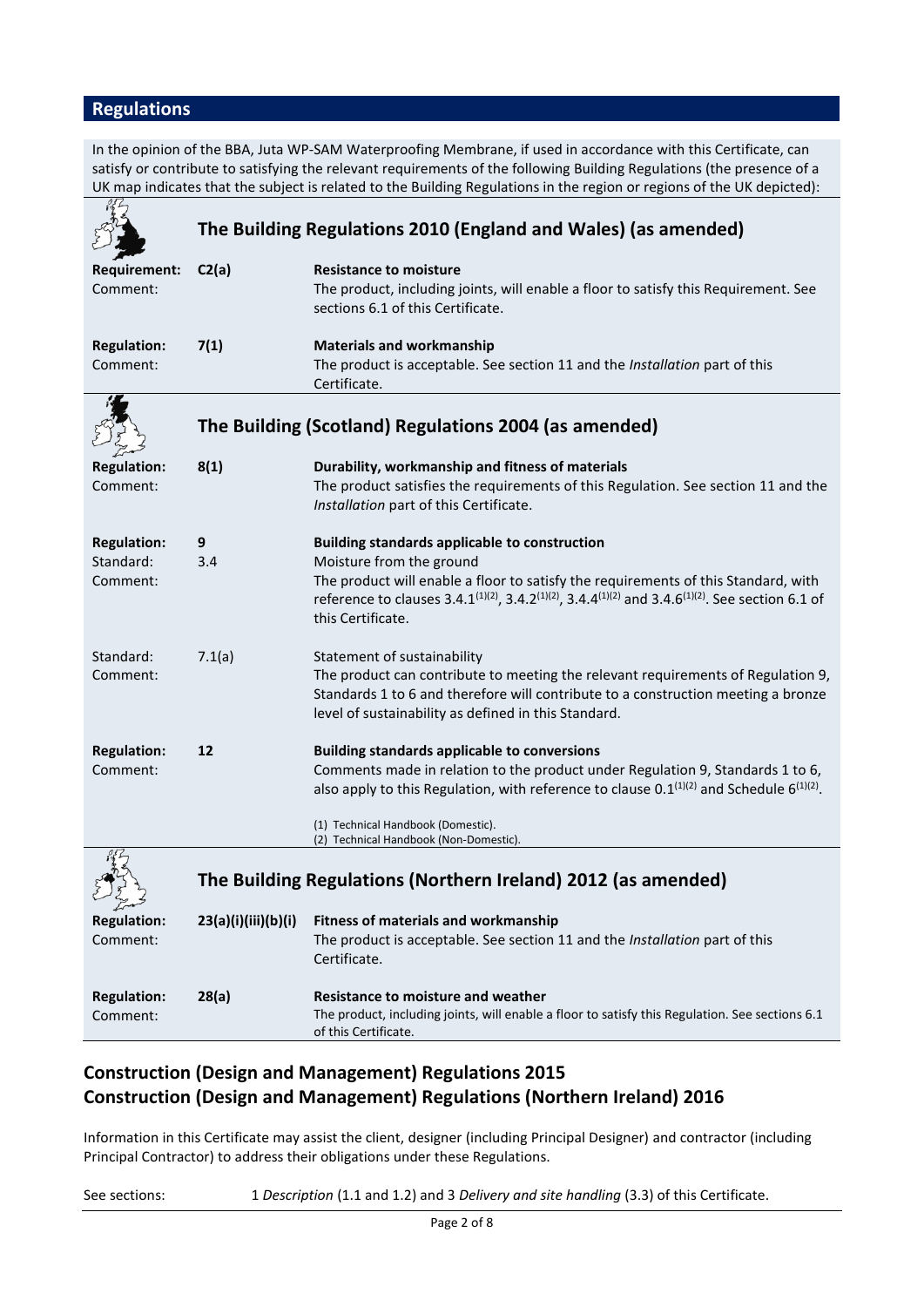# **Regulations**

In the opinion of the BBA, Juta WP-SAM Waterproofing Membrane, if used in accordance with this Certificate, can satisfy or contribute to satisfying the relevant requirements of the following Building Regulations (the presence of a UK map indicates that the subject is related to the Building Regulations in the region or regions of the UK depicted):

|                                             | The Building Regulations 2010 (England and Wales) (as amended) |                                                                                                                                                                                                                                                                                                                                                  |  |
|---------------------------------------------|----------------------------------------------------------------|--------------------------------------------------------------------------------------------------------------------------------------------------------------------------------------------------------------------------------------------------------------------------------------------------------------------------------------------------|--|
| <b>Requirement:</b><br>Comment:             | C2(a)                                                          | <b>Resistance to moisture</b><br>The product, including joints, will enable a floor to satisfy this Requirement. See<br>sections 6.1 of this Certificate.                                                                                                                                                                                        |  |
| <b>Regulation:</b><br>Comment:              | 7(1)                                                           | <b>Materials and workmanship</b><br>The product is acceptable. See section 11 and the Installation part of this<br>Certificate.                                                                                                                                                                                                                  |  |
|                                             | The Building (Scotland) Regulations 2004 (as amended)          |                                                                                                                                                                                                                                                                                                                                                  |  |
| <b>Regulation:</b><br>Comment:              | 8(1)                                                           | Durability, workmanship and fitness of materials<br>The product satisfies the requirements of this Regulation. See section 11 and the<br>Installation part of this Certificate.                                                                                                                                                                  |  |
| <b>Regulation:</b><br>Standard:<br>Comment: | 9<br>3.4                                                       | <b>Building standards applicable to construction</b><br>Moisture from the ground<br>The product will enable a floor to satisfy the requirements of this Standard, with<br>reference to clauses 3.4.1 <sup>(1)(2)</sup> , 3.4.2 <sup>(1)(2)</sup> , 3.4.4 <sup>(1)(2)</sup> and 3.4.6 <sup>(1)(2)</sup> . See section 6.1 of<br>this Certificate. |  |
| Standard:<br>Comment:                       | 7.1(a)                                                         | Statement of sustainability<br>The product can contribute to meeting the relevant requirements of Regulation 9,<br>Standards 1 to 6 and therefore will contribute to a construction meeting a bronze<br>level of sustainability as defined in this Standard.                                                                                     |  |
| <b>Regulation:</b><br>Comment:              | 12                                                             | <b>Building standards applicable to conversions</b><br>Comments made in relation to the product under Regulation 9, Standards 1 to 6,<br>also apply to this Regulation, with reference to clause $0.1^{(1)(2)}$ and Schedule $6^{(1)(2)}$ .<br>(1) Technical Handbook (Domestic).<br>(2) Technical Handbook (Non-Domestic).                      |  |
|                                             | The Building Regulations (Northern Ireland) 2012 (as amended)  |                                                                                                                                                                                                                                                                                                                                                  |  |
| from<br><b>Regulation:</b><br>Comment:      | 23(a)(i)(iii)(b)(i)                                            | <b>Fitness of materials and workmanship</b><br>The product is acceptable. See section 11 and the Installation part of this<br>Certificate.                                                                                                                                                                                                       |  |
| <b>Regulation:</b><br>Comment:              | 28(a)                                                          | <b>Resistance to moisture and weather</b><br>The product, including joints, will enable a floor to satisfy this Regulation. See sections 6.1<br>of this Certificate.                                                                                                                                                                             |  |

# **Construction (Design and Management) Regulations 2015 Construction (Design and Management) Regulations (Northern Ireland) 2016**

Information in this Certificate may assist the client, designer (including Principal Designer) and contractor (including Principal Contractor) to address their obligations under these Regulations.

See sections: 1 *Description* (1.1 and 1.2) and 3 *Delivery and site handling* (3.3) of this Certificate.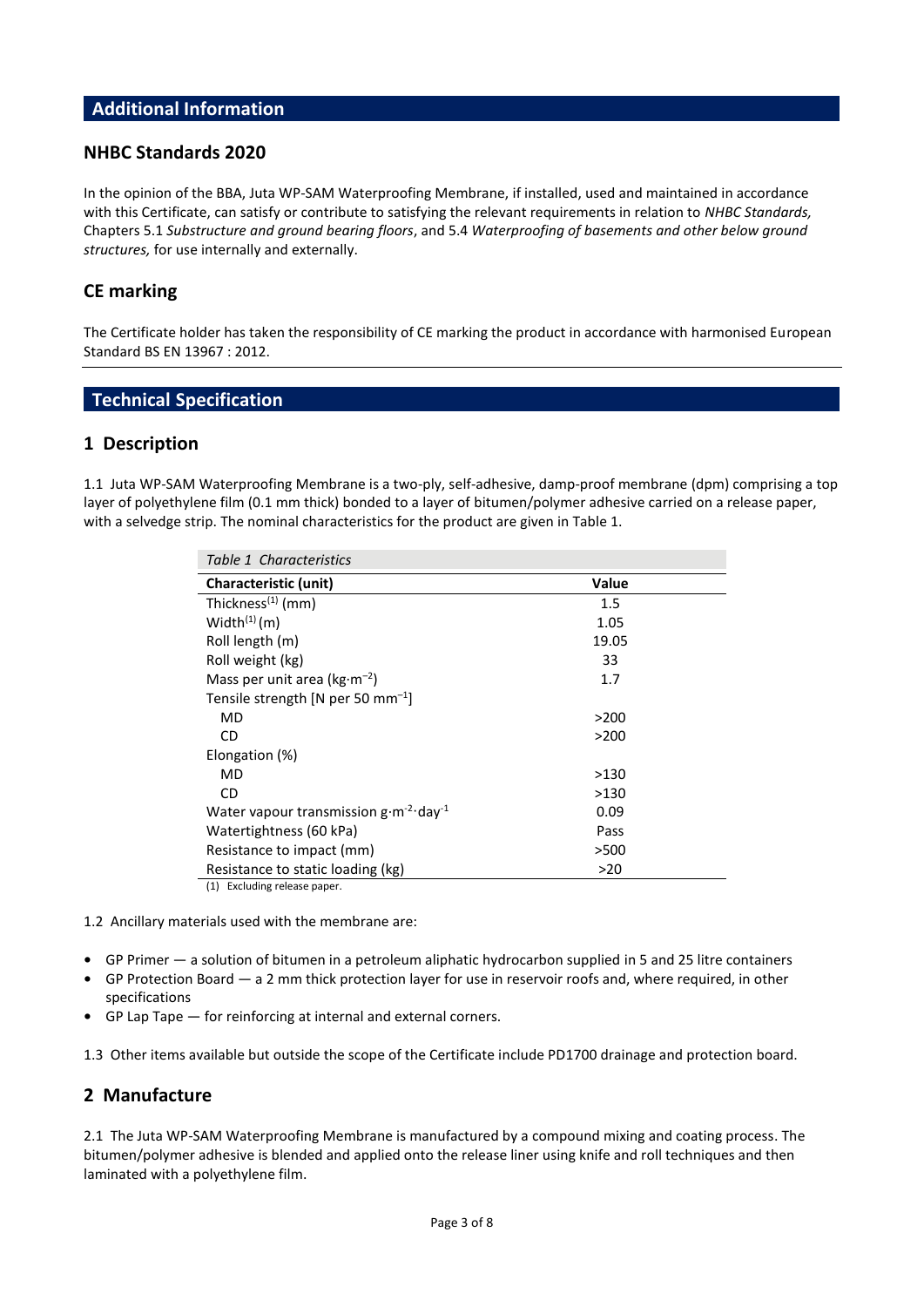## **Additional Information**

## **NHBC Standards 2020**

In the opinion of the BBA, Juta WP-SAM Waterproofing Membrane, if installed, used and maintained in accordance with this Certificate, can satisfy or contribute to satisfying the relevant requirements in relation to *NHBC Standards,*  Chapters 5.1 *Substructure and ground bearing floors*, and 5.4 *Waterproofing of basements and other below ground structures,* for use internally and externally.

# **CE marking**

The Certificate holder has taken the responsibility of CE marking the product in accordance with harmonised European Standard BS EN 13967 : 2012.

# **Technical Specification**

## **1 Description**

1.1 Juta WP-SAM Waterproofing Membrane is a two-ply, self-adhesive, damp-proof membrane (dpm) comprising a top layer of polyethylene film (0.1 mm thick) bonded to a layer of bitumen/polymer adhesive carried on a release paper, with a selvedge strip. The nominal characteristics for the product are given in Table 1.

| Table 1 Characteristics                                   |       |  |  |
|-----------------------------------------------------------|-------|--|--|
| Characteristic (unit)                                     | Value |  |  |
| Thickness <sup>(1)</sup> (mm)                             | 1.5   |  |  |
| Width $(1)$ (m)                                           | 1.05  |  |  |
| Roll length (m)                                           | 19.05 |  |  |
| Roll weight (kg)                                          | 33    |  |  |
| Mass per unit area ( $kg·m-2$ )                           | 1.7   |  |  |
| Tensile strength [N per 50 mm <sup>-1</sup> ]             |       |  |  |
| MD                                                        | >200  |  |  |
| CD                                                        | >200  |  |  |
| Elongation (%)                                            |       |  |  |
| MD                                                        | >130  |  |  |
| CD.                                                       | >130  |  |  |
| Water vapour transmission $g \cdot m^{-2} \cdot day^{-1}$ | 0.09  |  |  |
| Watertightness (60 kPa)                                   | Pass  |  |  |
| Resistance to impact (mm)                                 | >500  |  |  |
| Resistance to static loading (kg)                         | >20   |  |  |
| (1) Excluding release paper.                              |       |  |  |

1.2 Ancillary materials used with the membrane are:

- **•** GP Primer a solution of bitumen in a petroleum aliphatic hydrocarbon supplied in 5 and 25 litre containers
- **•** GP Protection Board a 2 mm thick protection layer for use in reservoir roofs and, where required, in other specifications
- **•** GP Lap Tape for reinforcing at internal and external corners.

1.3 Other items available but outside the scope of the Certificate include PD1700 drainage and protection board.

## **2 Manufacture**

2.1 The Juta WP-SAM Waterproofing Membrane is manufactured by a compound mixing and coating process. The bitumen/polymer adhesive is blended and applied onto the release liner using knife and roll techniques and then laminated with a polyethylene film.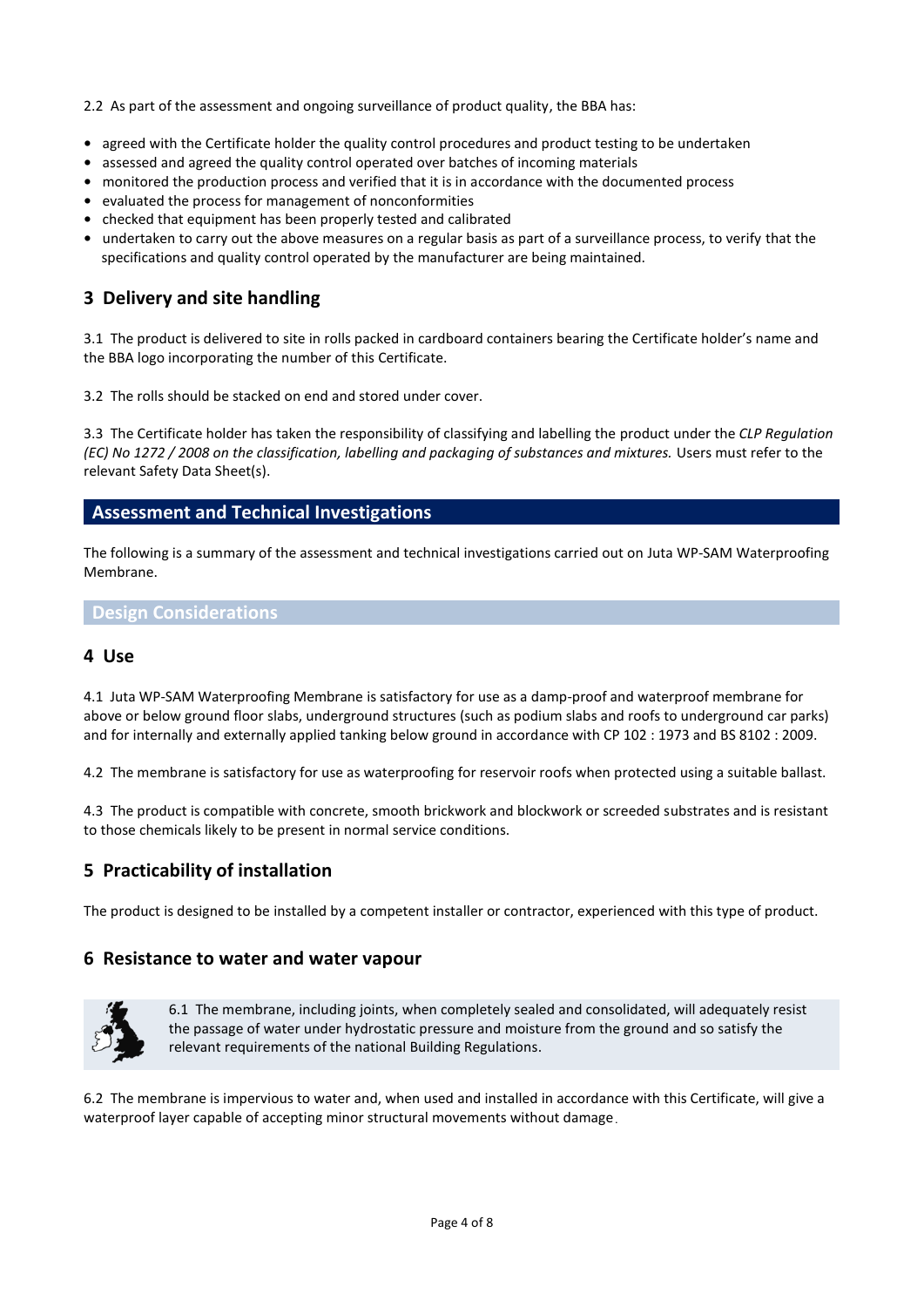2.2 As part of the assessment and ongoing surveillance of product quality, the BBA has:

- **•** agreed with the Certificate holder the quality control procedures and product testing to be undertaken
- **•** assessed and agreed the quality control operated over batches of incoming materials
- **•** monitored the production process and verified that it is in accordance with the documented process
- **•** evaluated the process for management of nonconformities
- **•** checked that equipment has been properly tested and calibrated
- **•** undertaken to carry out the above measures on a regular basis as part of a surveillance process, to verify that the specifications and quality control operated by the manufacturer are being maintained.

# **3 Delivery and site handling**

3.1 The product is delivered to site in rolls packed in cardboard containers bearing the Certificate holder's name and the BBA logo incorporating the number of this Certificate.

3.2 The rolls should be stacked on end and stored under cover.

3.3 The Certificate holder has taken the responsibility of classifying and labelling the product under the *CLP Regulation (EC) No 1272 / 2008 on the classification, labelling and packaging of substances and mixtures.* Users must refer to the relevant Safety Data Sheet(s).

## **Assessment and Technical Investigations**

The following is a summary of the assessment and technical investigations carried out on Juta WP-SAM Waterproofing Membrane.

### **Design Considerations**

## **4 Use**

4.1 Juta WP-SAM Waterproofing Membrane is satisfactory for use as a damp-proof and waterproof membrane for above or below ground floor slabs, underground structures (such as podium slabs and roofs to underground car parks) and for internally and externally applied tanking below ground in accordance with CP 102 : 1973 and BS 8102 : 2009.

4.2 The membrane is satisfactory for use as waterproofing for reservoir roofs when protected using a suitable ballast.

4.3 The product is compatible with concrete, smooth brickwork and blockwork or screeded substrates and is resistant to those chemicals likely to be present in normal service conditions.

# **5 Practicability of installation**

The product is designed to be installed by a competent installer or contractor, experienced with this type of product.

### **6 Resistance to water and water vapour**



6.1 The membrane, including joints, when completely sealed and consolidated, will adequately resist the passage of water under hydrostatic pressure and moisture from the ground and so satisfy the relevant requirements of the national Building Regulations.

6.2 The membrane is impervious to water and, when used and installed in accordance with this Certificate, will give a waterproof layer capable of accepting minor structural movements without damage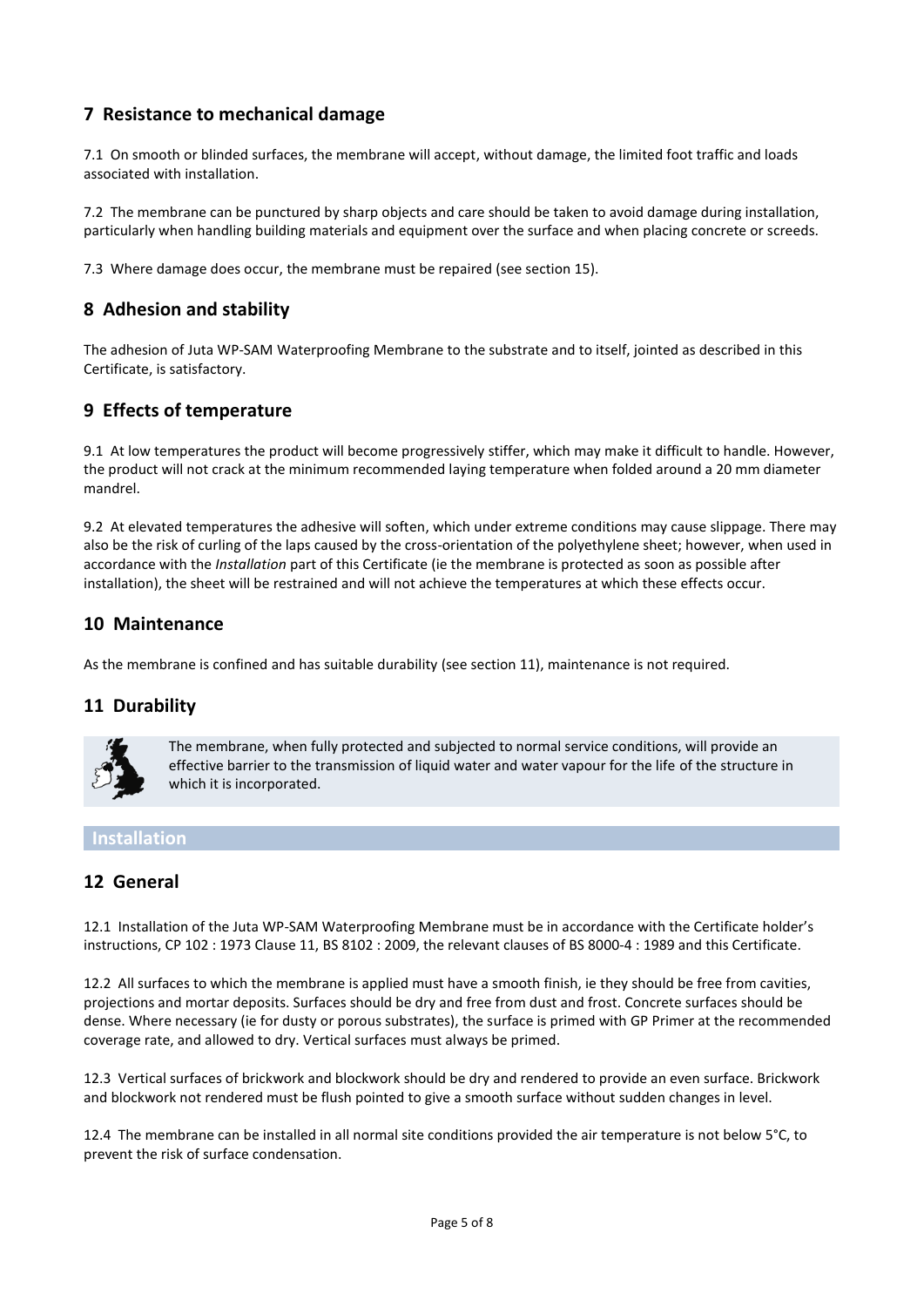# **7 Resistance to mechanical damage**

7.1 On smooth or blinded surfaces, the membrane will accept, without damage, the limited foot traffic and loads associated with installation.

7.2 The membrane can be punctured by sharp objects and care should be taken to avoid damage during installation, particularly when handling building materials and equipment over the surface and when placing concrete or screeds.

7.3 Where damage does occur, the membrane must be repaired (see section 15).

# **8 Adhesion and stability**

The adhesion of Juta WP-SAM Waterproofing Membrane to the substrate and to itself, jointed as described in this Certificate, is satisfactory.

# **9 Effects of temperature**

9.1 At low temperatures the product will become progressively stiffer, which may make it difficult to handle. However, the product will not crack at the minimum recommended laying temperature when folded around a 20 mm diameter mandrel.

9.2 At elevated temperatures the adhesive will soften, which under extreme conditions may cause slippage. There may also be the risk of curling of the laps caused by the cross-orientation of the polyethylene sheet; however, when used in accordance with the *Installation* part of this Certificate (ie the membrane is protected as soon as possible after installation), the sheet will be restrained and will not achieve the temperatures at which these effects occur.

# **10 Maintenance**

As the membrane is confined and has suitable durability (see section 11), maintenance is not required.

## **11 Durability**



The membrane, when fully protected and subjected to normal service conditions, will provide an effective barrier to the transmission of liquid water and water vapour for the life of the structure in which it is incorporated.

### **Installation**

## **12 General**

12.1 Installation of the Juta WP-SAM Waterproofing Membrane must be in accordance with the Certificate holder's instructions, CP 102 : 1973 Clause 11, BS 8102 : 2009, the relevant clauses of BS 8000-4 : 1989 and this Certificate.

12.2 All surfaces to which the membrane is applied must have a smooth finish, ie they should be free from cavities, projections and mortar deposits. Surfaces should be dry and free from dust and frost. Concrete surfaces should be dense. Where necessary (ie for dusty or porous substrates), the surface is primed with GP Primer at the recommended coverage rate, and allowed to dry. Vertical surfaces must always be primed.

12.3 Vertical surfaces of brickwork and blockwork should be dry and rendered to provide an even surface. Brickwork and blockwork not rendered must be flush pointed to give a smooth surface without sudden changes in level.

12.4 The membrane can be installed in all normal site conditions provided the air temperature is not below 5°C, to prevent the risk of surface condensation.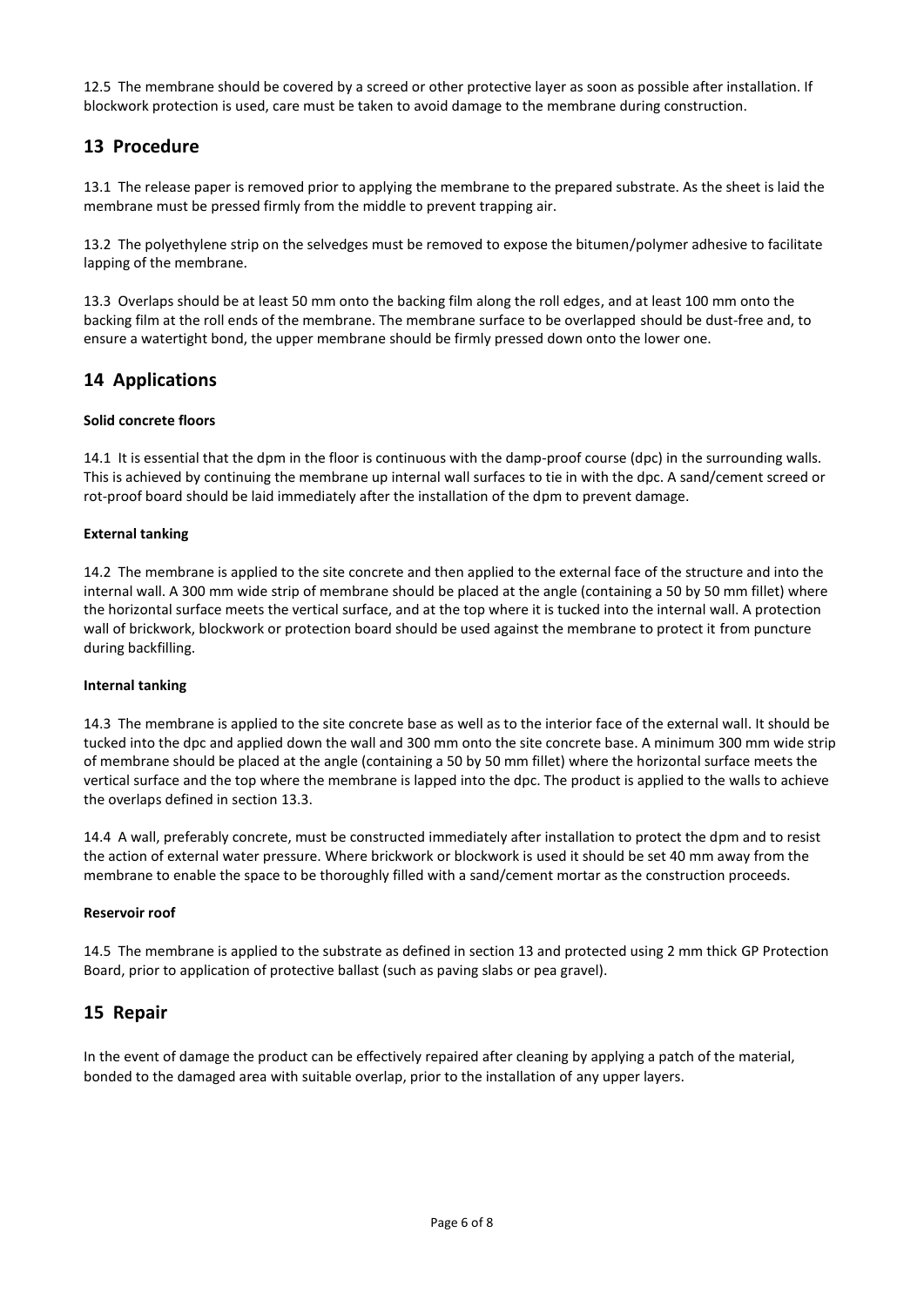12.5 The membrane should be covered by a screed or other protective layer as soon as possible after installation. If blockwork protection is used, care must be taken to avoid damage to the membrane during construction.

# **13 Procedure**

13.1 The release paper is removed prior to applying the membrane to the prepared substrate. As the sheet is laid the membrane must be pressed firmly from the middle to prevent trapping air.

13.2 The polyethylene strip on the selvedges must be removed to expose the bitumen/polymer adhesive to facilitate lapping of the membrane.

13.3 Overlaps should be at least 50 mm onto the backing film along the roll edges, and at least 100 mm onto the backing film at the roll ends of the membrane. The membrane surface to be overlapped should be dust-free and, to ensure a watertight bond, the upper membrane should be firmly pressed down onto the lower one.

# **14 Applications**

#### **Solid concrete floors**

14.1 It is essential that the dpm in the floor is continuous with the damp-proof course (dpc) in the surrounding walls. This is achieved by continuing the membrane up internal wall surfaces to tie in with the dpc. A sand/cement screed or rot-proof board should be laid immediately after the installation of the dpm to prevent damage.

#### **External tanking**

14.2 The membrane is applied to the site concrete and then applied to the external face of the structure and into the internal wall. A 300 mm wide strip of membrane should be placed at the angle (containing a 50 by 50 mm fillet) where the horizontal surface meets the vertical surface, and at the top where it is tucked into the internal wall. A protection wall of brickwork, blockwork or protection board should be used against the membrane to protect it from puncture during backfilling.

#### **Internal tanking**

14.3 The membrane is applied to the site concrete base as well as to the interior face of the external wall. It should be tucked into the dpc and applied down the wall and 300 mm onto the site concrete base. A minimum 300 mm wide strip of membrane should be placed at the angle (containing a 50 by 50 mm fillet) where the horizontal surface meets the vertical surface and the top where the membrane is lapped into the dpc. The product is applied to the walls to achieve the overlaps defined in section 13.3.

14.4 A wall, preferably concrete, must be constructed immediately after installation to protect the dpm and to resist the action of external water pressure. Where brickwork or blockwork is used it should be set 40 mm away from the membrane to enable the space to be thoroughly filled with a sand/cement mortar as the construction proceeds.

### **Reservoir roof**

14.5 The membrane is applied to the substrate as defined in section 13 and protected using 2 mm thick GP Protection Board, prior to application of protective ballast (such as paving slabs or pea gravel).

## **15 Repair**

In the event of damage the product can be effectively repaired after cleaning by applying a patch of the material, bonded to the damaged area with suitable overlap, prior to the installation of any upper layers.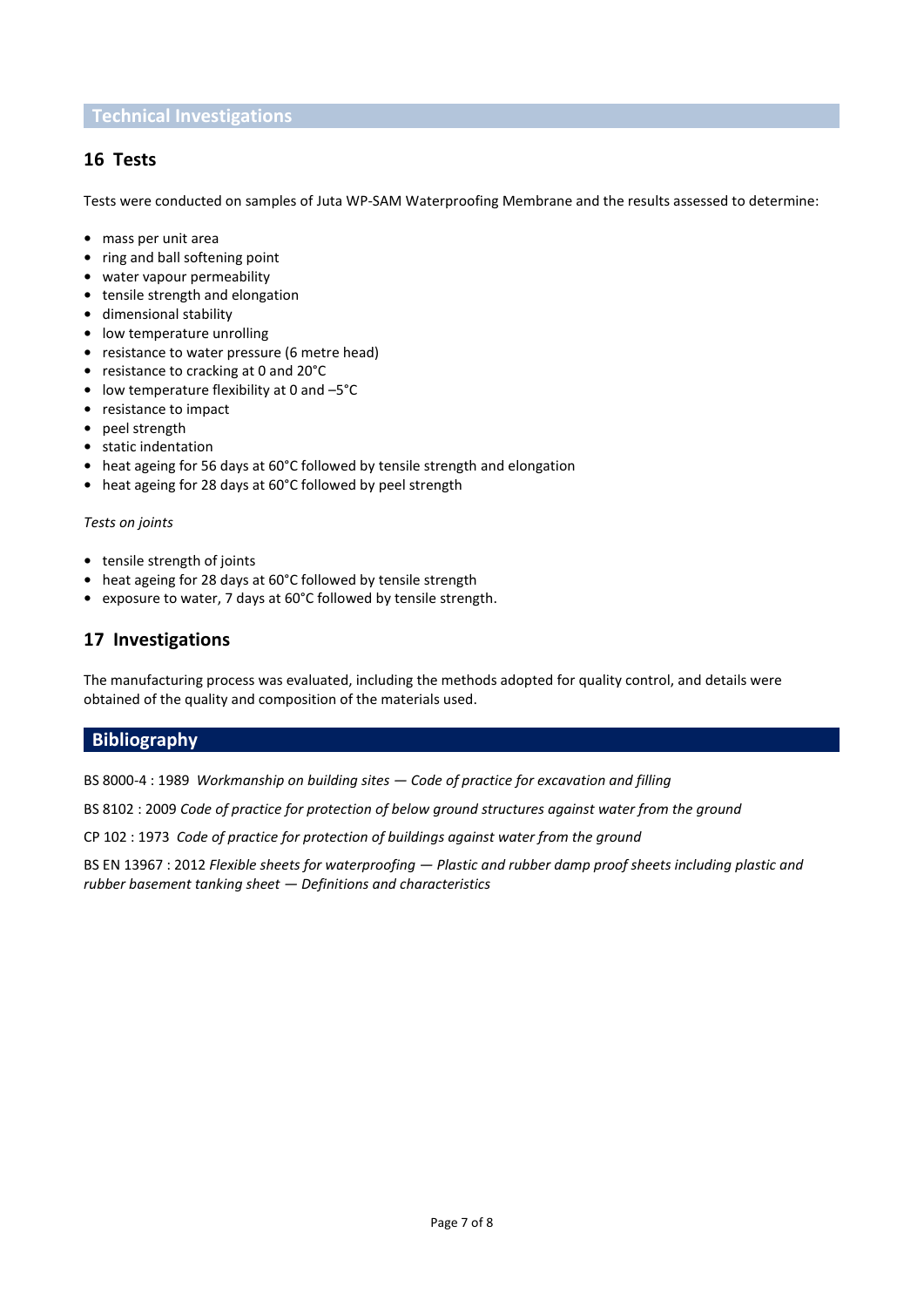## **Technical Investigations**

# **16 Tests**

Tests were conducted on samples of Juta WP-SAM Waterproofing Membrane and the results assessed to determine:

- **•** mass per unit area
- **•** ring and ball softening point
- **•** water vapour permeability
- **•** tensile strength and elongation
- **•** dimensional stability
- **•** low temperature unrolling
- **•** resistance to water pressure (6 metre head)
- **•** resistance to cracking at 0 and 20°C
- **•** low temperature flexibility at 0 and –5°C
- **•** resistance to impact
- **•** peel strength
- **•** static indentation
- **•** heat ageing for 56 days at 60°C followed by tensile strength and elongation
- **•** heat ageing for 28 days at 60°C followed by peel strength

#### *Tests on joints*

- **•** tensile strength of joints
- **•** heat ageing for 28 days at 60°C followed by tensile strength
- **•** exposure to water, 7 days at 60°C followed by tensile strength.

# **17 Investigations**

The manufacturing process was evaluated, including the methods adopted for quality control, and details were obtained of the quality and composition of the materials used.

## **Bibliography**

BS 8000-4 : 1989 *Workmanship on building sites — Code of practice for excavation and filling*

BS 8102 : 2009 *Code of practice for protection of below ground structures against water from the ground*

CP 102 : 1973 *Code of practice for protection of buildings against water from the ground*

BS EN 13967 : 2012 *Flexible sheets for waterproofing — Plastic and rubber damp proof sheets including plastic and rubber basement tanking sheet — Definitions and characteristics*